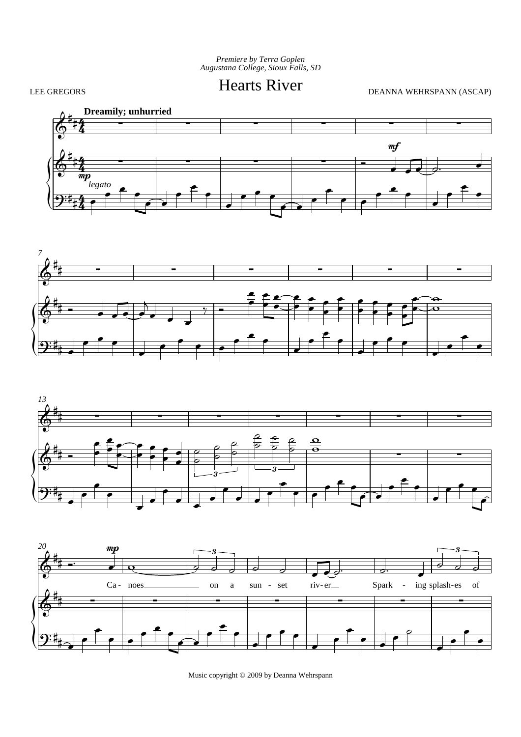Premiere by Terra Goplen<br>Augustana College, Sioux Falls, SD

LEE GREGORS

**Hearts River** 

DEANNA WEHRSPANN (ASCAP)









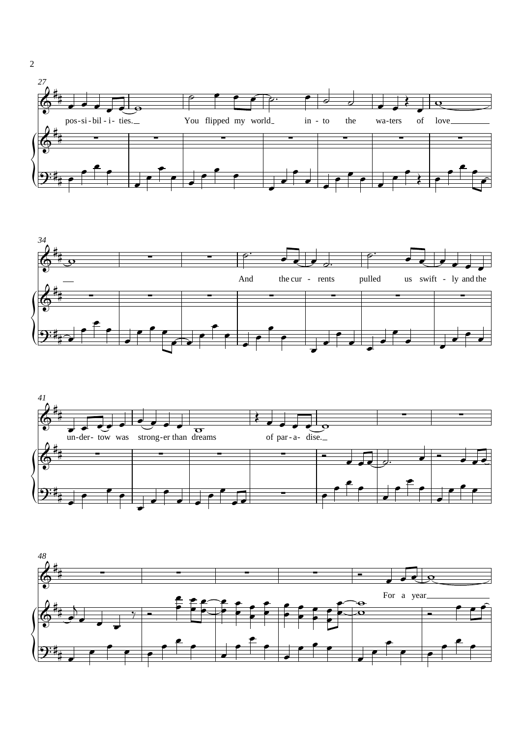